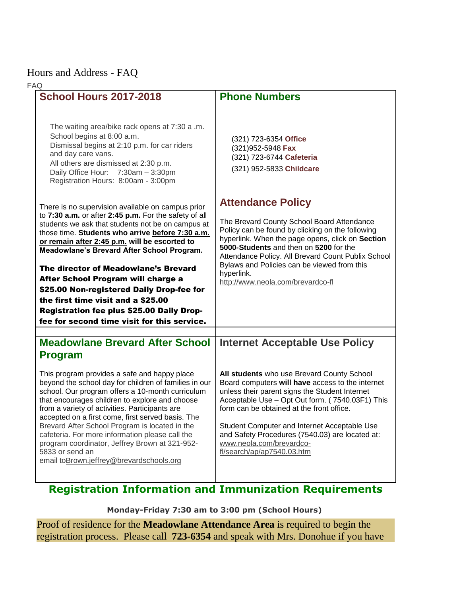## Hours and Address - FAQ

| <b>FAQ</b> |                                                                                                                                                                                                                                                                                                                                                                                                                                                                                                                                                                                        |                                                                                                                                                                                                                                                                                                                                                                                                               |
|------------|----------------------------------------------------------------------------------------------------------------------------------------------------------------------------------------------------------------------------------------------------------------------------------------------------------------------------------------------------------------------------------------------------------------------------------------------------------------------------------------------------------------------------------------------------------------------------------------|---------------------------------------------------------------------------------------------------------------------------------------------------------------------------------------------------------------------------------------------------------------------------------------------------------------------------------------------------------------------------------------------------------------|
|            | <b>School Hours 2017-2018</b>                                                                                                                                                                                                                                                                                                                                                                                                                                                                                                                                                          | <b>Phone Numbers</b>                                                                                                                                                                                                                                                                                                                                                                                          |
|            | The waiting area/bike rack opens at 7:30 a .m.<br>School begins at 8:00 a.m.<br>Dismissal begins at 2:10 p.m. for car riders<br>and day care vans.<br>All others are dismissed at 2:30 p.m.<br>Daily Office Hour: 7:30am - 3:30pm<br>Registration Hours: 8:00am - 3:00pm                                                                                                                                                                                                                                                                                                               | (321) 723-6354 Office<br>(321) 952-5948 Fax<br>(321) 723-6744 Cafeteria<br>(321) 952-5833 Childcare                                                                                                                                                                                                                                                                                                           |
|            |                                                                                                                                                                                                                                                                                                                                                                                                                                                                                                                                                                                        | <b>Attendance Policy</b>                                                                                                                                                                                                                                                                                                                                                                                      |
|            | There is no supervision available on campus prior<br>to 7:30 a.m. or after 2:45 p.m. For the safety of all<br>students we ask that students not be on campus at<br>those time. Students who arrive before 7:30 a.m.<br>or remain after 2:45 p.m. will be escorted to<br>Meadowlane's Brevard After School Program.<br>The director of Meadowlane's Brevard<br>After School Program will charge a<br>\$25.00 Non-registered Daily Drop-fee for<br>the first time visit and a \$25.00<br><b>Registration fee plus \$25.00 Daily Drop-</b><br>fee for second time visit for this service. | The Brevard County School Board Attendance<br>Policy can be found by clicking on the following<br>hyperlink. When the page opens, click on Section<br>5000-Students and then on 5200 for the<br>Attendance Policy. All Brevard Count Publix School<br>Bylaws and Policies can be viewed from this<br>hyperlink.<br>http://www.neola.com/brevardco-fl                                                          |
|            |                                                                                                                                                                                                                                                                                                                                                                                                                                                                                                                                                                                        |                                                                                                                                                                                                                                                                                                                                                                                                               |
|            | <b>Meadowlane Brevard After School</b>                                                                                                                                                                                                                                                                                                                                                                                                                                                                                                                                                 | <b>Internet Acceptable Use Policy</b>                                                                                                                                                                                                                                                                                                                                                                         |
|            | <b>Program</b><br>This program provides a safe and happy place<br>beyond the school day for children of families in our<br>school. Our program offers a 10-month curriculum<br>that encourages children to explore and choose<br>from a variety of activities. Participants are<br>accepted on a first come, first served basis. The<br>Brevard After School Program is located in the<br>cafeteria. For more information please call the<br>program coordinator, Jeffrey Brown at 321-952-<br>5833 or send an<br>email to Brown.jeffrey@brevardschools.org                            | All students who use Brevard County School<br>Board computers will have access to the internet<br>unless their parent signs the Student Internet<br>Acceptable Use - Opt Out form. (7540.03F1) This<br>form can be obtained at the front office.<br>Student Computer and Internet Acceptable Use<br>and Safety Procedures (7540.03) are located at:<br>www.neola.com/brevardco-<br>fl/search/ap/ap7540.03.htm |

## **Registration Information and Immunization Requirements**

**Monday-Friday 7:30 am to 3:00 pm (School Hours)**

Proof of residence for the **Meadowlane Attendance Area** is required to begin the registration process. Please call **723-6354** and speak with Mrs. Donohue if you have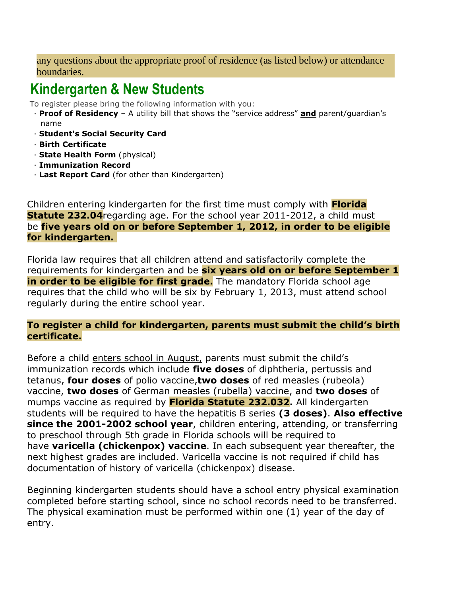any questions about the appropriate proof of residence (as listed below) or attendance boundaries.

## **Kindergarten & New Students**

To register please bring the following information with you:

- · **Proof of Residency** A utility bill that shows the "service address" **and** parent/guardian's name
- · **Student's Social Security Card**
- · **Birth Certificate**
- · **State Health Form** (physical)
- · **Immunization Record**
- · **Last Report Card** (for other than Kindergarten)

• Children entering kindergarten for the first time must comply with **Florida Statute 232.04**regarding age. For the school year 2011-2012, a child must be **five years old on or before September 1, 2012, in order to be eligible for kindergarten.**

• Florida law requires that all children attend and satisfactorily complete the requirements for kindergarten and be **six years old on or before September 1 in order to be eligible for first grade.** The mandatory Florida school age requires that the child who will be six by February 1, 2013, must attend school regularly during the entire school year.

## • **To register a child for kindergarten, parents must submit the child's birth certificate.**

• Before a child enters school in August, parents must submit the child's immunization records which include **five doses** of diphtheria, pertussis and tetanus, **four doses** of polio vaccine,**two doses** of red measles (rubeola) vaccine, **two doses** of German measles (rubella) vaccine, and **two doses** of mumps vaccine as required by **Florida Statute 232.032.** All kindergarten students will be required to have the hepatitis B series **(3 doses)**. **Also effective since the 2001-2002 school year**, children entering, attending, or transferring to preschool through 5th grade in Florida schools will be required to have **varicella (chickenpox) vaccine**. In each subsequent year thereafter, the next highest grades are included. Varicella vaccine is not required if child has documentation of history of varicella (chickenpox) disease.

• Beginning kindergarten students should have a school entry physical examination completed before starting school, since no school records need to be transferred. The physical examination must be performed within one (1) year of the day of entry.